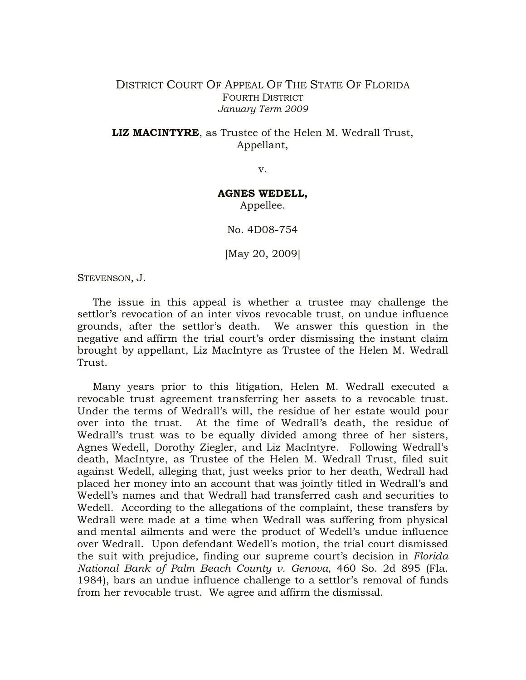## DISTRICT COURT OF APPEAL OF THE STATE OF FLORIDA FOURTH DISTRICT *January Term 2009*

**LIZ MACINTYRE**, as Trustee of the Helen M. Wedrall Trust, Appellant,

v.

## **AGNES WEDELL,**

Appellee.

No. 4D08-754

[May 20, 2009]

STEVENSON, J.

The issue in this appeal is whether a trustee may challenge the settlor's revocation of an inter vivos revocable trust, on undue influence grounds, after the settlor's death. We answer this question in the negative and affirm the trial court's order dismissing the instant claim brought by appellant, Liz MacIntyre as Trustee of the Helen M. Wedrall Trust.

Many years prior to this litigation, Helen M. Wedrall executed a revocable trust agreement transferring her assets to a revocable trust. Under the terms of Wedrall's will, the residue of her estate would pour over into the trust. At the time of Wedrall's death, the residue of Wedrall's trust was to be equally divided among three of her sisters, Agnes Wedell, Dorothy Ziegler, and Liz MacIntyre. Following Wedrall's death, MacIntyre, as Trustee of the Helen M. Wedrall Trust, filed suit against Wedell, alleging that, just weeks prior to her death, Wedrall had placed her money into an account that was jointly titled in Wedrall's and Wedell's names and that Wedrall had transferred cash and securities to Wedell. According to the allegations of the complaint, these transfers by Wedrall were made at a time when Wedrall was suffering from physical and mental ailments and were the product of Wedell's undue influence over Wedrall. Upon defendant Wedell's motion, the trial court dismissed the suit with prejudice, finding our supreme court's decision in *Florida National Bank of Palm Beach County v. Genova*, 460 So. 2d 895 (Fla. 1984), bars an undue influence challenge to a settlor's removal of funds from her revocable trust. We agree and affirm the dismissal.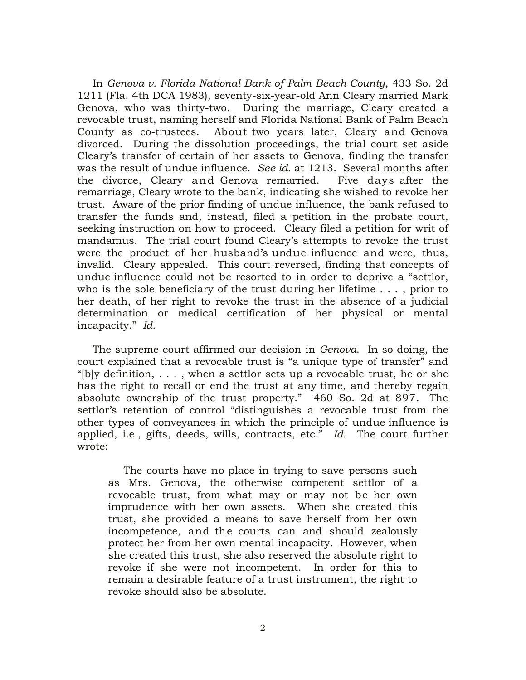In *Genova v. Florida National Bank of Palm Beach County*, 433 So. 2d 1211 (Fla. 4th DCA 1983), seventy-six-year-old Ann Cleary married Mark Genova, who was thirty-two. During the marriage, Cleary created a revocable trust, naming herself and Florida National Bank of Palm Beach County as co-trustees. About two years later, Cleary and Genova divorced. During the dissolution proceedings, the trial court set aside Cleary's transfer of certain of her assets to Genova, finding the transfer was the result of undue influence. *See id.* at 1213. Several months after the divorce, Cleary and Genova remarried. Five days after the remarriage, Cleary wrote to the bank, indicating she wished to revoke her trust. Aware of the prior finding of undue influence, the bank refused to transfer the funds and, instead, filed a petition in the probate court, seeking instruction on how to proceed. Cleary filed a petition for writ of mandamus. The trial court found Cleary's attempts to revoke the trust were the product of her husband's undue influence and were, thus, invalid. Cleary appealed. This court reversed, finding that concepts of undue influence could not be resorted to in order to deprive a "settlor, who is the sole beneficiary of the trust during her lifetime . . . , prior to her death, of her right to revoke the trust in the absence of a judicial determination or medical certification of her physical or mental incapacity." *Id.*

The supreme court affirmed our decision in *Genova*. In so doing, the court explained that a revocable trust is "a unique type of transfer" and "[b]y definition,  $\dots$ , when a settlor sets up a revocable trust, he or she has the right to recall or end the trust at any time, and thereby regain absolute ownership of the trust property." 460 So. 2d at 897. The settlor's retention of control "distinguishes a revocable trust from the other types of conveyances in which the principle of undue influence is applied, i.e., gifts, deeds, wills, contracts, etc." *Id.* The court further wrote:

The courts have no place in trying to save persons such as Mrs. Genova, the otherwise competent settlor of a revocable trust, from what may or may not be her own imprudence with her own assets. When she created this trust, she provided a means to save herself from her own incompetence, and the courts can and should zealously protect her from her own mental incapacity. However, when she created this trust, she also reserved the absolute right to revoke if she were not incompetent. In order for this to remain a desirable feature of a trust instrument, the right to revoke should also be absolute.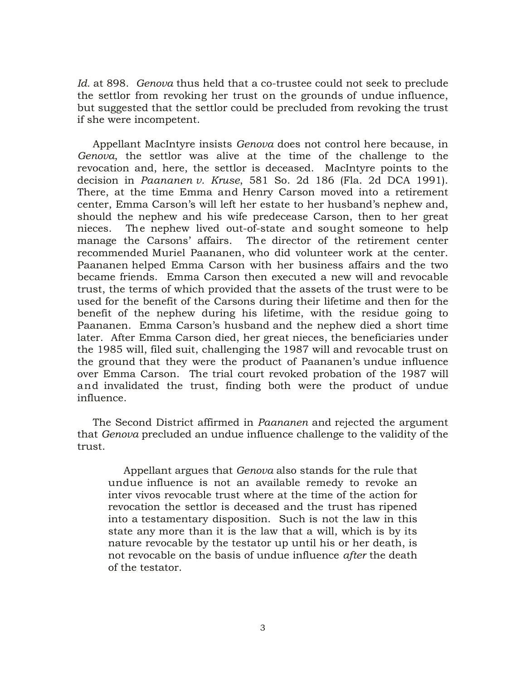*Id.* at 898. *Genova* thus held that a co-trustee could not seek to preclude the settlor from revoking her trust on the grounds of undue influence, but suggested that the settlor could be precluded from revoking the trust if she were incompetent.

Appellant MacIntyre insists *Genova* does not control here because, in *Genova*, the settlor was alive at the time of the challenge to the revocation and, here, the settlor is deceased. MacIntyre points to the decision in *Paananen v. Kruse*, 581 So. 2d 186 (Fla. 2d DCA 1991). There, at the time Emma and Henry Carson moved into a retirement center, Emma Carson's will left her estate to her husband's nephew and, should the nephew and his wife predecease Carson, then to her great nieces. The nephew lived out-of-state and sought someone to help manage the Carsons' affairs. The director of the retirement center recommended Muriel Paananen, who did volunteer work at the center. Paananen helped Emma Carson with her business affairs and the two became friends. Emma Carson then executed a new will and revocable trust, the terms of which provided that the assets of the trust were to be used for the benefit of the Carsons during their lifetime and then for the benefit of the nephew during his lifetime, with the residue going to Paananen. Emma Carson's husband and the nephew died a short time later. After Emma Carson died, her great nieces, the beneficiaries under the 1985 will, filed suit, challenging the 1987 will and revocable trust on the ground that they were the product of Paananen's undue influence over Emma Carson. The trial court revoked probation of the 1987 will and invalidated the trust, finding both were the product of undue influence.

The Second District affirmed in *Paananen* and rejected the argument that *Genova* precluded an undue influence challenge to the validity of the trust.

Appellant argues that *Genova* also stands for the rule that undue influence is not an available remedy to revoke an inter vivos revocable trust where at the time of the action for revocation the settlor is deceased and the trust has ripened into a testamentary disposition. Such is not the law in this state any more than it is the law that a will, which is by its nature revocable by the testator up until his or her death, is not revocable on the basis of undue influence *after* the death of the testator.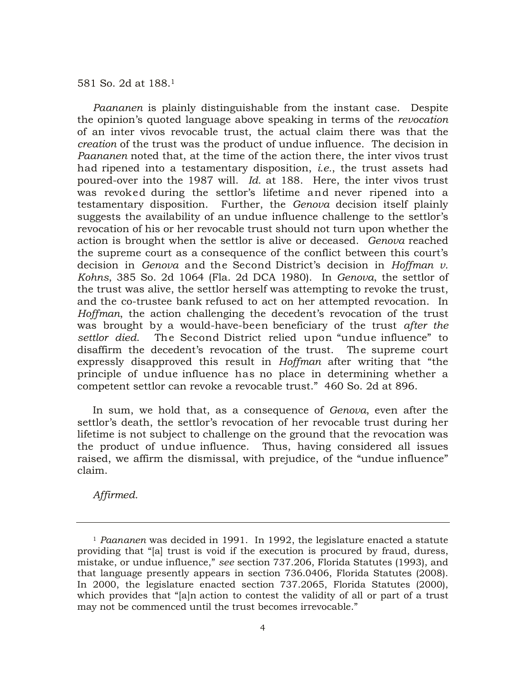581 So. 2d at 188.<sup>1</sup>

*Paananen* is plainly distinguishable from the instant case. Despite the opinion's quoted language above speaking in terms of the *revocation* of an inter vivos revocable trust, the actual claim there was that the *creation* of the trust was the product of undue influence. The decision in *Paananen* noted that, at the time of the action there, the inter vivos trust had ripened into a testamentary disposition, *i.e.*, the trust assets had poured-over into the 1987 will. *Id.* at 188. Here, the inter vivos trust was revoked during the settlor's lifetime and never ripened into a testamentary disposition. Further, the *Genova* decision itself plainly suggests the availability of an undue influence challenge to the settlor's revocation of his or her revocable trust should not turn upon whether the action is brought when the settlor is alive or deceased. *Genova* reached the supreme court as a consequence of the conflict between this court's decision in *Genova* and the Second District's decision in *Hoffman v. Kohns*, 385 So. 2d 1064 (Fla. 2d DCA 1980). In *Genova*, the settlor of the trust was alive, the settlor herself was attempting to revoke the trust, and the co-trustee bank refused to act on her attempted revocation. In *Hoffman*, the action challenging the decedent's revocation of the trust was brought by a would-have-been beneficiary of the trust *after the settlor died*. The Second District relied upon "undue influence" to disaffirm the decedent's revocation of the trust. The supreme court expressly disapproved this result in *Hoffman* after writing that "the principle of undue influence has no place in determining whether a competent settlor can revoke a revocable trust." 460 So. 2d at 896.

In sum, we hold that, as a consequence of *Genova*, even after the settlor's death, the settlor's revocation of her revocable trust during her lifetime is not subject to challenge on the ground that the revocation was the product of undue influence. Thus, having considered all issues raised, we affirm the dismissal, with prejudice, of the "undue influence" claim.

*Affirmed.*

<sup>1</sup> *Paananen* was decided in 1991. In 1992, the legislature enacted a statute providing that "[a] trust is void if the execution is procured by fraud, duress, mistake, or undue influence," *see* section 737.206, Florida Statutes (1993), and that language presently appears in section 736.0406, Florida Statutes (2008). In 2000, the legislature enacted section 737.2065, Florida Statutes (2000), which provides that "[a]n action to contest the validity of all or part of a trust may not be commenced until the trust becomes irrevocable."